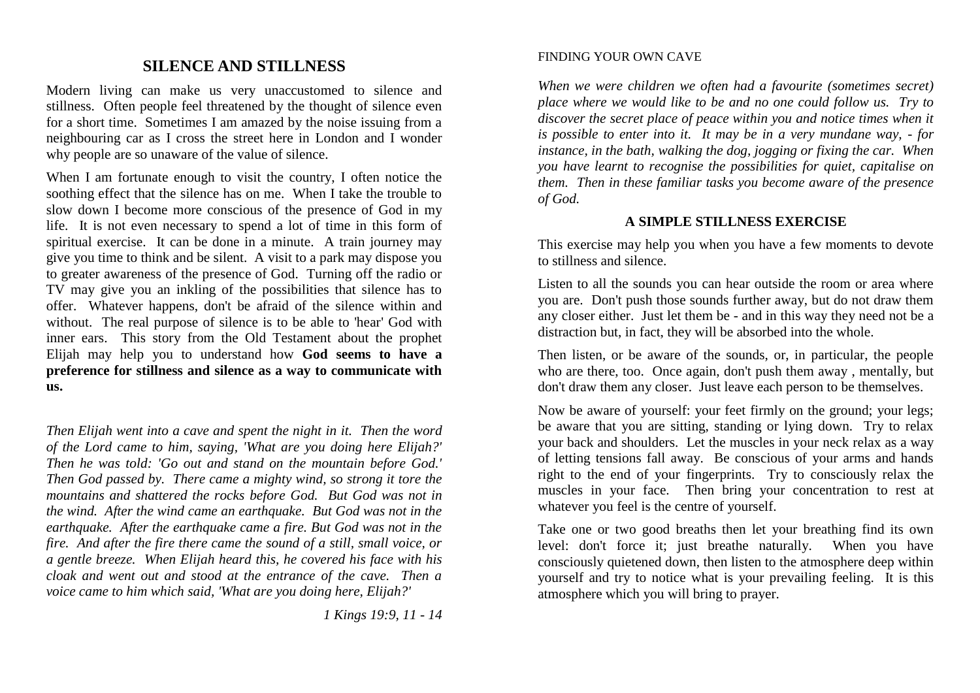## **SILENCE AND STILLNESS**

Modern living can make us very unaccustomed to silence and stillness. Often people feel threatened by the thought of silence even for a short time. Sometimes I am amazed by the noise issuing from a neighbouring car as I cross the street here in London and I wonder why people are so unaware of the value of silence.

When I am fortunate enough to visit the country, I often notice the soothing effect that the silence has on me. When I take the trouble to slow down I become more conscious of the presence of God in my life. It is not even necessary to spend a lot of time in this form of spiritual exercise. It can be done in a minute. A train journey may give you time to think and be silent. A visit to a park may dispose you to greater awareness of the presence of God. Turning off the radio or TV may give you an inkling of the possibilities that silence has to offer. Whatever happens, don't be afraid of the silence within and without. The real purpose of silence is to be able to 'hear' God with inner ears. This story from the Old Testament about the prophet Elijah may help you to understand how **God seems to have a preference for stillness and silence as a way to communicate with us.**

*Then Elijah went into a cave and spent the night in it. Then the word of the Lord came to him, saying, 'What are you doing here Elijah?' Then he was told: 'Go out and stand on the mountain before God.' Then God passed by. There came a mighty wind, so strong it tore the mountains and shattered the rocks before God. But God was not in the wind. After the wind came an earthquake. But God was not in the earthquake. After the earthquake came a fire. But God was not in the fire. And after the fire there came the sound of a still, small voice, or a gentle breeze. When Elijah heard this, he covered his face with his cloak and went out and stood at the entrance of the cave. Then a voice came to him which said, 'What are you doing here, Elijah?'*

*1 Kings 19:9, 11 - 14*

#### FINDING YOUR OWN CAVE

*When we were children we often had a favourite (sometimes secret) place where we would like to be and no one could follow us. Try to discover the secret place of peace within you and notice times when it is possible to enter into it. It may be in a very mundane way, - for instance, in the bath, walking the dog, jogging or fixing the car. When you have learnt to recognise the possibilities for quiet, capitalise on them. Then in these familiar tasks you become aware of the presence of God.*

### **A SIMPLE STILLNESS EXERCISE**

This exercise may help you when you have a few moments to devote to stillness and silence.

Listen to all the sounds you can hear outside the room or area where you are. Don't push those sounds further away, but do not draw them any closer either. Just let them be - and in this way they need not be a distraction but, in fact, they will be absorbed into the whole.

Then listen, or be aware of the sounds, or, in particular, the people who are there, too. Once again, don't push them away , mentally, but don't draw them any closer. Just leave each person to be themselves.

Now be aware of yourself: your feet firmly on the ground; your legs; be aware that you are sitting, standing or lying down. Try to relax your back and shoulders. Let the muscles in your neck relax as a way of letting tensions fall away. Be conscious of your arms and hands right to the end of your fingerprints. Try to consciously relax the muscles in your face. Then bring your concentration to rest at whatever you feel is the centre of yourself.

Take one or two good breaths then let your breathing find its own level: don't force it; just breathe naturally. When you have consciously quietened down, then listen to the atmosphere deep within yourself and try to notice what is your prevailing feeling. It is this atmosphere which you will bring to prayer.